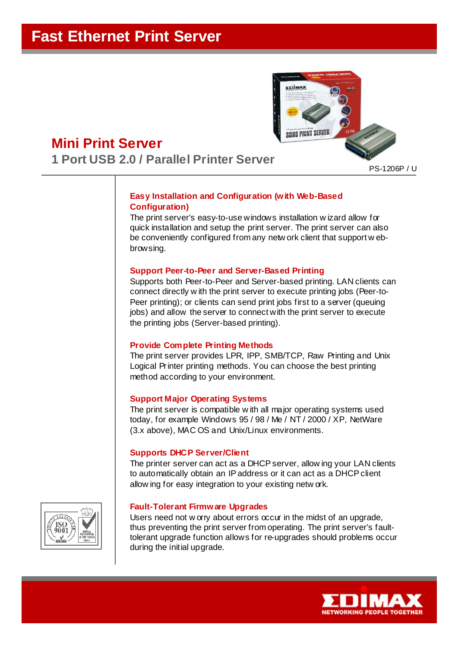

# **Mini Print Server 1 Port USB 2.0 / Parallel Printer Server**

PS-1206P / U

# **Easy Installation and Configuration (with Web-Based Configuration)**

The print server's easy-to-use windows installation w izard allow for quick installation and setup the print server. The print server can also be conveniently configured from any netw ork client that support w ebbrowsing.

#### **Support Peer-to-Peer and Server-Based Printing**

Supports both Peer-to-Peer and Server-based printing. LAN clients can connect directly w ith the print server to execute printing jobs (Peer-to-Peer printing); or clients can send print jobs first to a server (queuing jobs) and allow the server to connect with the print server to execute the printing jobs (Server-based printing).

#### **Provide Complete Printing Methods**

The print server provides LPR, IPP, SMB/TCP, Raw Printing and Unix Logical Printer printing methods. You can choose the best printing method according to your environment.

## **Support Major Operating Systems**

The print server is compatible w ith all major operating systems used today, for example Windows 95 / 98 / Me / NT / 2000 / XP, NetWare (3.x above), MAC OS and Unix/Linux environments.

## **Supports DHCP Server/Client**

The printer server can act as a DHCP server, allow ing your LAN clients to automatically obtain an IP address or it can act as a DHCP client allow ing for easy integration to your existing netw ork.

#### **Fault-Tolerant Firmware Upgrades**

Users need not w orry about errors occur in the midst of an upgrade, thus preventing the print server from operating. The print server's faulttolerant upgrade function allows for re-upgrades should problems occur during the initial upgrade.